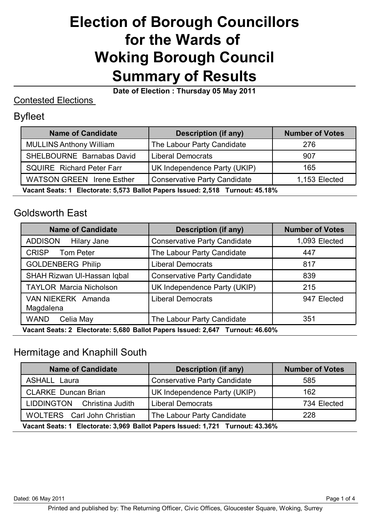# **Election of Borough Councillors for the Wards of Woking Borough Council Summary of Results**

**Date of Election : Thursday 05 May 2011**

#### Contested Elections

#### Byfleet

| <b>Name of Candidate</b>                                                      | <b>Description (if any)</b>         | <b>Number of Votes</b> |
|-------------------------------------------------------------------------------|-------------------------------------|------------------------|
| <b>MULLINS Anthony William</b>                                                | The Labour Party Candidate          | 276                    |
| SHELBOURNE Barnabas David                                                     | <b>Liberal Democrats</b>            | 907                    |
| <b>SQUIRE</b> Richard Peter Farr                                              | UK Independence Party (UKIP)        | 165                    |
| <b>WATSON GREEN</b> Irene Esther                                              | <b>Conservative Party Candidate</b> | 1,153 Elected          |
| Vacant Seats: 1 Electorate: 5,573 Ballot Papers Issued: 2,518 Turnout: 45.18% |                                     |                        |

#### Goldsworth East

| <b>Name of Candidate</b>                                                      | Description (if any)                | <b>Number of Votes</b> |
|-------------------------------------------------------------------------------|-------------------------------------|------------------------|
| <b>ADDISON</b><br>Hilary Jane                                                 | <b>Conservative Party Candidate</b> | 1,093 Elected          |
| <b>CRISP</b><br>Tom Peter                                                     | The Labour Party Candidate          | 447                    |
| <b>GOLDENBERG Philip</b>                                                      | <b>Liberal Democrats</b>            | 817                    |
| SHAH Rizwan UI-Hassan Iqbal                                                   | <b>Conservative Party Candidate</b> | 839                    |
| <b>TAYLOR Marcia Nicholson</b>                                                | UK Independence Party (UKIP)        | 215                    |
| VAN NIEKERK Amanda<br>Magdalena                                               | <b>Liberal Democrats</b>            | 947 Elected            |
| <b>WAND</b><br>Celia May                                                      | The Labour Party Candidate          | 351                    |
| Vacant Seats: 2 Electorate: 5,680 Ballot Papers Issued: 2,647 Turnout: 46.60% |                                     |                        |

## Hermitage and Knaphill South

| <b>Name of Candidate</b>                                                      | <b>Description (if any)</b>         | <b>Number of Votes</b> |
|-------------------------------------------------------------------------------|-------------------------------------|------------------------|
| <b>ASHALL Laura</b>                                                           | <b>Conservative Party Candidate</b> | 585                    |
| <b>CLARKE Duncan Brian</b>                                                    | UK Independence Party (UKIP)        | 162                    |
| LIDDINGTON Christina Judith                                                   | <b>Liberal Democrats</b>            | 734 Elected            |
| WOLTERS Carl John Christian                                                   | The Labour Party Candidate          | 228                    |
| Vacant Seats: 1 Electorate: 3,969 Ballot Papers Issued: 1,721 Turnout: 43.36% |                                     |                        |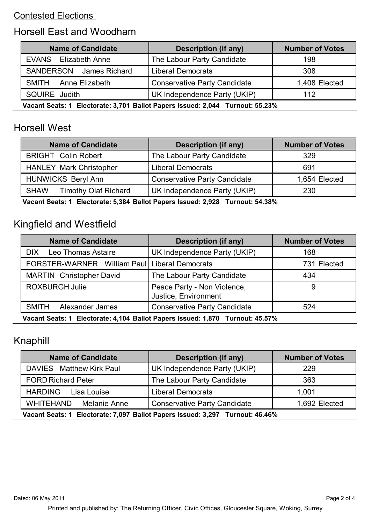#### Contested Elections

#### Horsell East and Woodham

| <b>Name of Candidate</b>                                                      | <b>Description (if any)</b>         | <b>Number of Votes</b> |
|-------------------------------------------------------------------------------|-------------------------------------|------------------------|
| <b>EVANS</b><br>Elizabeth Anne                                                | The Labour Party Candidate          | 198                    |
| SANDERSON James Richard                                                       | <b>Liberal Democrats</b>            | 308                    |
| SMITH Anne Elizabeth                                                          | <b>Conservative Party Candidate</b> | 1,408 Elected          |
| SQUIRE Judith                                                                 | UK Independence Party (UKIP)        | 112                    |
| Vacant Soate: 1 Electorate: 3 701 Ballot Dangre Issued: 2 044 Turnout: 55 23% |                                     |                        |

**Vacant Seats: 1 Electorate: 3,701 Ballot Papers Issued: 2,044 Turnout: 55.23%**

### Horsell West

| <b>Name of Candidate</b>                                                      | <b>Description (if any)</b>         | <b>Number of Votes</b> |
|-------------------------------------------------------------------------------|-------------------------------------|------------------------|
| <b>BRIGHT Colin Robert</b>                                                    | The Labour Party Candidate          | 329                    |
| <b>HANLEY Mark Christopher</b>                                                | <b>Liberal Democrats</b>            | 691                    |
| <b>HUNWICKS Beryl Ann</b>                                                     | <b>Conservative Party Candidate</b> | 1,654 Elected          |
| <b>SHAW</b><br><b>Timothy Olaf Richard</b>                                    | UK Independence Party (UKIP)        | 230                    |
| Vacant Boate: 1 Electorato: E 284 Ballet Baners Issued: 2028 Turnout: E4 200/ |                                     |                        |

**Vacant Seats: 1 Electorate: 5,384 Ballot Papers Issued: 2,928 Turnout: 54.38%**

## Kingfield and Westfield

| <b>Name of Candidate</b>                                                      | <b>Description (if any)</b>                         | <b>Number of Votes</b> |
|-------------------------------------------------------------------------------|-----------------------------------------------------|------------------------|
| <b>Leo Thomas Astaire</b><br><b>DIX</b>                                       | UK Independence Party (UKIP)                        | 168                    |
| FORSTER-WARNER William Paul   Liberal Democrats                               |                                                     | 731 Elected            |
| <b>MARTIN</b> Christopher David                                               | The Labour Party Candidate                          | 434                    |
| <b>ROXBURGH Julie</b>                                                         | Peace Party - Non Violence,<br>Justice, Environment | 9                      |
| <b>SMITH</b><br>Alexander James                                               | <b>Conservative Party Candidate</b>                 | 524                    |
| Vacant Seats: 1 Electorate: 4,104 Ballot Papers Issued: 1,870 Turnout: 45.57% |                                                     |                        |

## Knaphill

| <b>Name of Candidate</b>                                                      | <b>Description (if any)</b>         | <b>Number of Votes</b> |
|-------------------------------------------------------------------------------|-------------------------------------|------------------------|
| DAVIES Matthew Kirk Paul                                                      | UK Independence Party (UKIP)        | 229                    |
| <b>FORD Richard Peter</b>                                                     | The Labour Party Candidate          | 363                    |
| <b>HARDING</b><br>Lisa Louise                                                 | <b>Liberal Democrats</b>            | 1,001                  |
| WHITEHAND<br>Melanie Anne                                                     | <b>Conservative Party Candidate</b> | 1,692 Elected          |
| Vacant Seats: 1 Electorate: 7,097 Ballot Papers Issued: 3,297 Turnout: 46.46% |                                     |                        |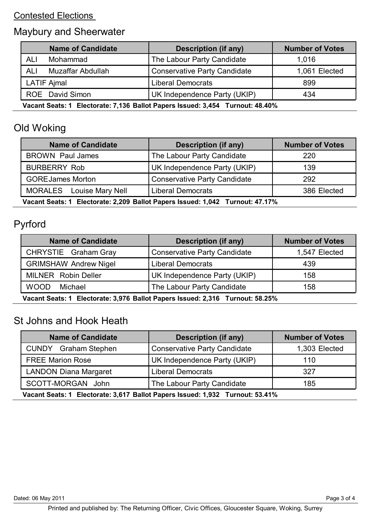#### Contested Elections

## Maybury and Sheerwater

|                                                                               | <b>Name of Candidate</b> | Description (if any)                | <b>Number of Votes</b> |
|-------------------------------------------------------------------------------|--------------------------|-------------------------------------|------------------------|
| ALI                                                                           | Mohammad                 | The Labour Party Candidate          | 1,016                  |
| <b>ALI</b>                                                                    | Muzaffar Abdullah        | <b>Conservative Party Candidate</b> | 1,061 Elected          |
|                                                                               | <b>LATIF Ajmal</b>       | <b>Liberal Democrats</b>            | 899                    |
|                                                                               | ROE David Simon          | UK Independence Party (UKIP)        | 434                    |
| Vacant Seats: 1 Electorate: 7,136 Ballot Papers Issued: 3,454 Turnout: 48.40% |                          |                                     |                        |

## Old Woking

| <b>Name of Candidate</b>                                                      | Description (if any)                | <b>Number of Votes</b> |
|-------------------------------------------------------------------------------|-------------------------------------|------------------------|
| <b>BROWN Paul James</b>                                                       | The Labour Party Candidate          | 220                    |
| <b>BURBERRY Rob</b>                                                           | UK Independence Party (UKIP)        | 139                    |
| <b>GOREJames Morton</b>                                                       | <b>Conservative Party Candidate</b> | 292                    |
| MORALES Louise Mary Nell                                                      | <b>Liberal Democrats</b>            | 386 Elected            |
| Vacant Boate: 1 Electorato: 2.200 Ballet Baners Issued: 1.042 Turnout: 47.47% |                                     |                        |

**Vacant Seats: 1 Electorate: 2,209 Ballot Papers Issued: 1,042 Turnout: 47.17%**

## Pyrford

| <b>Name of Candidate</b>                                                                                                                                                                                                                                                                                    | <b>Description (if any)</b>         | <b>Number of Votes</b> |
|-------------------------------------------------------------------------------------------------------------------------------------------------------------------------------------------------------------------------------------------------------------------------------------------------------------|-------------------------------------|------------------------|
| CHRYSTIE Graham Gray                                                                                                                                                                                                                                                                                        | <b>Conservative Party Candidate</b> | 1,547 Elected          |
| <b>GRIMSHAW Andrew Nigel</b>                                                                                                                                                                                                                                                                                | <b>Liberal Democrats</b>            | 439                    |
| <b>MILNER</b> Robin Deller                                                                                                                                                                                                                                                                                  | UK Independence Party (UKIP)        | 158                    |
| <b>WOOD</b><br>Michael                                                                                                                                                                                                                                                                                      | The Labour Party Candidate          | 158                    |
| $\mathbf{M}$ , $\mathbf{A}$ , $\mathbf{H}$ , $\mathbf{A}$ , $\mathbf{A}$ , $\mathbf{A}$ , $\mathbf{H}$ , $\mathbf{H}$ , $\mathbf{H}$ , $\mathbf{H}$ , $\mathbf{H}$ , $\mathbf{H}$ , $\mathbf{H}$ , $\mathbf{H}$ , $\mathbf{H}$ , $\mathbf{H}$ , $\mathbf{H}$ , $\mathbf{H}$ , $\mathbf{H}$ , $\mathbf{H}$ , |                                     |                        |

**Vacant Seats: 1 Electorate: 3,976 Ballot Papers Issued: 2,316 Turnout: 58.25%**

## St Johns and Hook Heath

| <b>Name of Candidate</b>                                                      | <b>Description (if any)</b>         | <b>Number of Votes</b> |
|-------------------------------------------------------------------------------|-------------------------------------|------------------------|
| <b>CUNDY</b> Graham Stephen                                                   | <b>Conservative Party Candidate</b> | 1,303 Elected          |
| <b>FREE Marion Rose</b>                                                       | UK Independence Party (UKIP)        | 110                    |
| <b>LANDON Diana Margaret</b>                                                  | <b>Liberal Democrats</b>            | 327                    |
| SCOTT-MORGAN John                                                             | The Labour Party Candidate          | 185                    |
| Vacant Seats: 1 Electorate: 3,617 Ballot Papers Issued: 1,932 Turnout: 53.41% |                                     |                        |